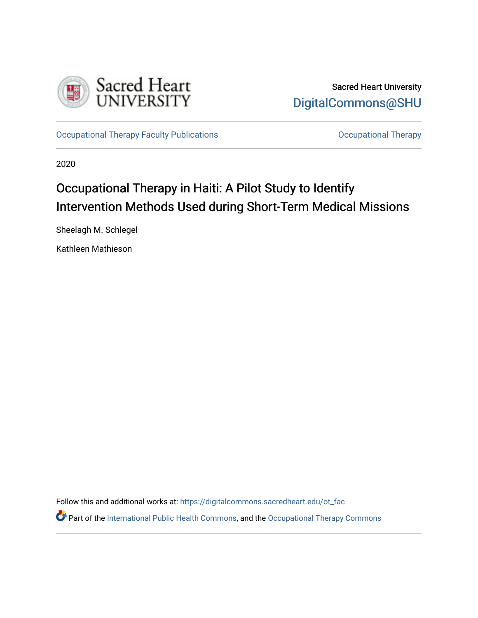

[Occupational Therapy Faculty Publications](https://digitalcommons.sacredheart.edu/ot_fac) **Community** Occupational Therapy

2020

# Occupational Therapy in Haiti: A Pilot Study to Identify Intervention Methods Used during Short-Term Medical Missions

Sheelagh M. Schlegel

Kathleen Mathieson

Follow this and additional works at: [https://digitalcommons.sacredheart.edu/ot\\_fac](https://digitalcommons.sacredheart.edu/ot_fac?utm_source=digitalcommons.sacredheart.edu%2Fot_fac%2F82&utm_medium=PDF&utm_campaign=PDFCoverPages) 

Part of the [International Public Health Commons](http://network.bepress.com/hgg/discipline/746?utm_source=digitalcommons.sacredheart.edu%2Fot_fac%2F82&utm_medium=PDF&utm_campaign=PDFCoverPages), and the [Occupational Therapy Commons](http://network.bepress.com/hgg/discipline/752?utm_source=digitalcommons.sacredheart.edu%2Fot_fac%2F82&utm_medium=PDF&utm_campaign=PDFCoverPages)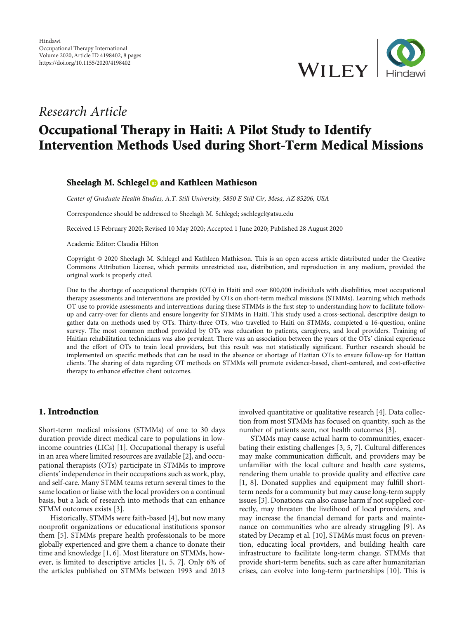

### Research Article

## Occupational Therapy in Haiti: A Pilot Study to Identify Intervention Methods Used during Short-Term Medical Missions

#### Sheelagh M. Schlegel **and Kathleen Mathieson**

Center of Graduate Health Studies, A.T. Still University, 5850 E Still Cir, Mesa, AZ 85206, USA

Correspondence should be addressed to Sheelagh M. Schlegel; sschlegel@atsu.edu

Received 15 February 2020; Revised 10 May 2020; Accepted 1 June 2020; Published 28 August 2020

Academic Editor: Claudia Hilton

Copyright © 2020 Sheelagh M. Schlegel and Kathleen Mathieson. This is an open access article distributed under the [Creative](https://creativecommons.org/licenses/by/4.0/) [Commons Attribution License,](https://creativecommons.org/licenses/by/4.0/) which permits unrestricted use, distribution, and reproduction in any medium, provided the original work is properly cited.

Due to the shortage of occupational therapists (OTs) in Haiti and over 800,000 individuals with disabilities, most occupational therapy assessments and interventions are provided by OTs on short-term medical missions (STMMs). Learning which methods OT use to provide assessments and interventions during these STMMs is the first step to understanding how to facilitate followup and carry-over for clients and ensure longevity for STMMs in Haiti. This study used a cross-sectional, descriptive design to gather data on methods used by OTs. Thirty-three OTs, who travelled to Haiti on STMMs, completed a 16-question, online survey. The most common method provided by OTs was education to patients, caregivers, and local providers. Training of Haitian rehabilitation technicians was also prevalent. There was an association between the years of the OTs' clinical experience and the effort of OTs to train local providers, but this result was not statistically significant. Further research should be implemented on specific methods that can be used in the absence or shortage of Haitian OTs to ensure follow-up for Haitian clients. The sharing of data regarding OT methods on STMMs will promote evidence-based, client-centered, and cost-effective therapy to enhance effective client outcomes.

#### 1. Introduction

Short-term medical missions (STMMs) of one to 30 days duration provide direct medical care to populations in lowincome countries (LICs) [[1](#page-7-0)]. Occupational therapy is useful in an area where limited resources are available [[2](#page-7-0)], and occupational therapists (OTs) participate in STMMs to improve clients' independence in their occupations such as work, play, and self-care. Many STMM teams return several times to the same location or liaise with the local providers on a continual basis, but a lack of research into methods that can enhance STMM outcomes exists [\[3](#page-7-0)].

Historically, STMMs were faith-based [[4\]](#page-7-0), but now many nonprofit organizations or educational institutions sponsor them [[5\]](#page-7-0). STMMs prepare health professionals to be more globally experienced and give them a chance to donate their time and knowledge [\[1](#page-7-0), [6\]](#page-7-0). Most literature on STMMs, however, is limited to descriptive articles [\[1, 5](#page-7-0), [7](#page-7-0)]. Only 6% of the articles published on STMMs between 1993 and 2013

involved quantitative or qualitative research [[4](#page-7-0)]. Data collection from most STMMs has focused on quantity, such as the number of patients seen, not health outcomes [[3\]](#page-7-0).

STMMs may cause actual harm to communities, exacerbating their existing challenges [[3, 5](#page-7-0), [7](#page-7-0)]. Cultural differences may make communication difficult, and providers may be unfamiliar with the local culture and health care systems, rendering them unable to provide quality and effective care [\[1](#page-7-0), [8](#page-7-0)]. Donated supplies and equipment may fulfill shortterm needs for a community but may cause long-term supply issues [\[3](#page-7-0)]. Donations can also cause harm if not supplied correctly, may threaten the livelihood of local providers, and may increase the financial demand for parts and maintenance on communities who are already struggling [\[9\]](#page-7-0). As stated by Decamp et al. [[10](#page-7-0)], STMMs must focus on prevention, educating local providers, and building health care infrastructure to facilitate long-term change. STMMs that provide short-term benefits, such as care after humanitarian crises, can evolve into long-term partnerships [\[10](#page-7-0)]. This is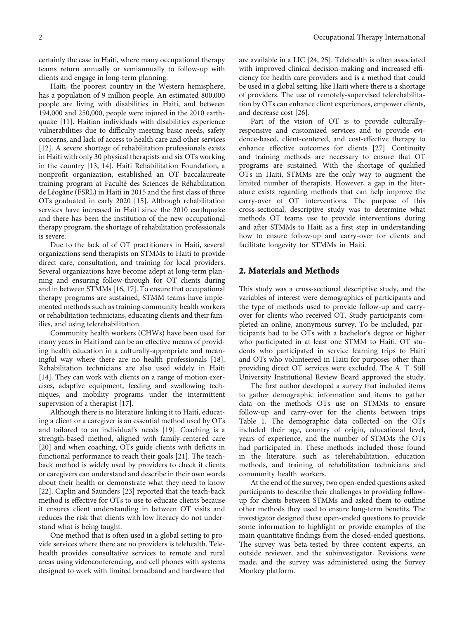certainly the case in Haiti, where many occupational therapy teams return annually or semiannually to follow-up with clients and engage in long-term planning.

Haiti, the poorest country in the Western hemisphere, has a population of 9 million people. An estimated 800,000 people are living with disabilities in Haiti, and between 194,000 and 250,000, people were injured in the 2010 earthquake [[11\]](#page-7-0). Haitian individuals with disabilities experience vulnerabilities due to difficulty meeting basic needs, safety concerns, and lack of access to health care and other services [\[12](#page-7-0)]. A severe shortage of rehabilitation professionals exists in Haiti with only 30 physical therapists and six OTs working in the country [\[13, 14](#page-7-0)]. Haiti Rehabilitation Foundation, a nonprofit organization, established an OT baccalaureate training program at Faculté des Sciences de Réhabilitation de Léogâne (FSRL) in Haiti in 2015 and the first class of three OTs graduated in early 2020 [\[15](#page-7-0)]. Although rehabilitation services have increased in Haiti since the 2010 earthquake and there has been the institution of the new occupational therapy program, the shortage of rehabilitation professionals is severe.

Due to the lack of of OT practitioners in Haiti, several organizations send therapists on STMMs to Haiti to provide direct care, consultation, and training for local providers. Several organizations have become adept at long-term planning and ensuring follow-through for OT clients during and in between STMMs [[16](#page-7-0), [17\]](#page-7-0). To ensure that occupational therapy programs are sustained, STMM teams have implemented methods such as training community health workers or rehabilitation technicians, educating clients and their families, and using telerehabilitation.

Community health workers (CHWs) have been used for many years in Haiti and can be an effective means of providing health education in a culturally-appropriate and meaningful way where there are no health professionals [[18](#page-7-0)]. Rehabilitation technicians are also used widely in Haiti [\[14](#page-7-0)]. They can work with clients on a range of motion exercises, adaptive equipment, feeding and swallowing techniques, and mobility programs under the intermittent supervision of a therapist [\[17\]](#page-7-0).

Although there is no literature linking it to Haiti, educating a client or a caregiver is an essential method used by OTs and tailored to an individual's needs [\[19\]](#page-7-0). Coaching is a strength-based method, aligned with family-centered care [\[20](#page-7-0)] and when coaching, OTs guide clients with deficits in functional performance to reach their goals [\[21\]](#page-7-0). The teachback method is widely used by providers to check if clients or caregivers can understand and describe in their own words about their health or demonstrate what they need to know [\[22](#page-7-0)]. Caplin and Saunders [\[23\]](#page-7-0) reported that the teach-back method is effective for OTs to use to educate clients because it ensures client understanding in between OT visits and reduces the risk that clients with low literacy do not understand what is being taught.

One method that is often used in a global setting to provide services where there are no providers is telehealth. Telehealth provides consultative services to remote and rural areas using videoconferencing, and cell phones with systems designed to work with limited broadband and hardware that

are available in a LIC [[24](#page-7-0), [25\]](#page-7-0). Telehealth is often associated with improved clinical decision-making and increased efficiency for health care providers and is a method that could be used in a global setting, like Haiti where there is a shortage of providers. The use of remotely-supervised telerehabilitation by OTs can enhance client experiences, empower clients, and decrease cost [\[26\]](#page-7-0).

Part of the vision of OT is to provide culturallyresponsive and customized services and to provide evidence-based, client-centered, and cost-effective therapy to enhance effective outcomes for clients [[27\]](#page-7-0). Continuity and training methods are necessary to ensure that OT programs are sustained. With the shortage of qualified OTs in Haiti, STMMs are the only way to augment the limited number of therapists. However, a gap in the literature exists regarding methods that can help improve the carry-over of OT interventions. The purpose of this cross-sectional, descriptive study was to determine what methods OT teams use to provide interventions during and after STMMs to Haiti as a first step in understanding how to ensure follow-up and carry-over for clients and facilitate longevity for STMMs in Haiti.

#### 2. Materials and Methods

This study was a cross-sectional descriptive study, and the variables of interest were demographics of participants and the type of methods used to provide follow-up and carryover for clients who received OT. Study participants completed an online, anonymous survey. To be included, participants had to be OTs with a bachelor's degree or higher who participated in at least one STMM to Haiti. OT students who participated in service learning trips to Haiti and OTs who volunteered in Haiti for purposes other than providing direct OT services were excluded. The A. T. Still University Institutional Review Board approved the study.

The first author developed a survey that included items to gather demographic information and items to gather data on the methods OTs use on STMMs to ensure follow-up and carry-over for the clients between trips Table [1](#page-3-0). The demographic data collected on the OTs included their age, country of origin, educational level, years of experience, and the number of STMMs the OTs had participated in. These methods included those found in the literature, such as telerehabilitation, education methods, and training of rehabilitation technicians and community health workers.

At the end of the survey, two open-ended questions asked participants to describe their challenges to providing followup for clients between STMMs and asked them to outline other methods they used to ensure long-term benefits. The investigator designed these open-ended questions to provide some information to highlight or provide examples of the main quantitative findings from the closed-ended questions. The survey was beta-tested by three content experts, an outside reviewer, and the subinvestigator. Revisions were made, and the survey was administered using the Survey Monkey platform.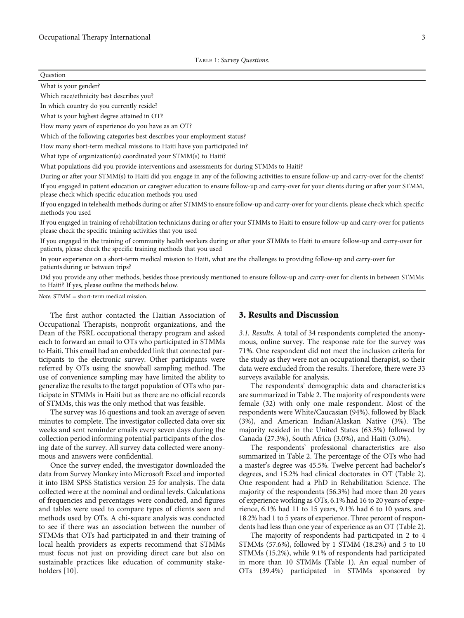#### <span id="page-3-0"></span>Question

What is your gender?

Which race/ethnicity best describes you?

In which country do you currently reside?

What is your highest degree attained in OT?

How many years of experience do you have as an OT?

Which of the following categories best describes your employment status?

How many short-term medical missions to Haiti have you participated in?

What type of organization(s) coordinated your STMM(s) to Haiti?

What populations did you provide interventions and assessments for during STMMs to Haiti?

During or after your STMM(s) to Haiti did you engage in any of the following activities to ensure follow-up and carry-over for the clients?

If you engaged in patient education or caregiver education to ensure follow-up and carry-over for your clients during or after your STMM, please check which specific education methods you used

If you engaged in telehealth methods during or after STMMS to ensure follow-up and carry-over for your clients, please check which specific methods you used

If you engaged in training of rehabilitation technicians during or after your STMMs to Haiti to ensure follow-up and carry-over for patients please check the specific training activities that you used

If you engaged in the training of community health workers during or after your STMMs to Haiti to ensure follow-up and carry-over for patients, please check the specific training methods that you used

In your experience on a short-term medical mission to Haiti, what are the challenges to providing follow-up and carry-over for patients during or between trips?

Did you provide any other methods, besides those previously mentioned to ensure follow-up and carry-over for clients in between STMMs to Haiti? If yes, please outline the methods below.

Note: STMM = short-term medical mission.

The first author contacted the Haitian Association of Occupational Therapists, nonprofit organizations, and the Dean of the FSRL occupational therapy program and asked each to forward an email to OTs who participated in STMMs to Haiti. This email had an embedded link that connected participants to the electronic survey. Other participants were referred by OTs using the snowball sampling method. The use of convenience sampling may have limited the ability to generalize the results to the target population of OTs who participate in STMMs in Haiti but as there are no official records of STMMs, this was the only method that was feasible.

The survey was 16 questions and took an average of seven minutes to complete. The investigator collected data over six weeks and sent reminder emails every seven days during the collection period informing potential participants of the closing date of the survey. All survey data collected were anonymous and answers were confidential.

Once the survey ended, the investigator downloaded the data from Survey Monkey into Microsoft Excel and imported it into IBM SPSS Statistics version 25 for analysis. The data collected were at the nominal and ordinal levels. Calculations of frequencies and percentages were conducted, and figures and tables were used to compare types of clients seen and methods used by OTs. A chi-square analysis was conducted to see if there was an association between the number of STMMs that OTs had participated in and their training of local health providers as experts recommend that STMMs must focus not just on providing direct care but also on sustainable practices like education of community stakeholders [[10](#page-7-0)].

#### 3. Results and Discussion

3.1. Results. A total of 34 respondents completed the anonymous, online survey. The response rate for the survey was 71%. One respondent did not meet the inclusion criteria for the study as they were not an occupational therapist, so their data were excluded from the results. Therefore, there were 33 surveys available for analysis.

The respondents' demographic data and characteristics are summarized in Table [2](#page-4-0). The majority of respondents were female (32) with only one male respondent. Most of the respondents were White/Caucasian (94%), followed by Black (3%), and American Indian/Alaskan Native (3%). The majority resided in the United States (63.5%) followed by Canada (27.3%), South Africa (3.0%), and Haiti (3.0%).

The respondents' professional characteristics are also summarized in Table [2.](#page-4-0) The percentage of the OTs who had a master's degree was 45.5%. Twelve percent had bachelor's degrees, and 15.2% had clinical doctorates in OT (Table [2](#page-4-0)). One respondent had a PhD in Rehabilitation Science. The majority of the respondents (56.3%) had more than 20 years of experience working as OTs, 6.1% had 16 to 20 years of experience, 6.1% had 11 to 15 years, 9.1% had 6 to 10 years, and 18.2% had 1 to 5 years of experience. Three percent of respondents had less than one year of experience as an OT (Table [2](#page-4-0)).

The majority of respondents had participated in 2 to 4 STMMs (57.6%), followed by 1 STMM (18.2%) and 5 to 10 STMMs (15.2%), while 9.1% of respondents had participated in more than 10 STMMs (Table 1). An equal number of OTs (39.4%) participated in STMMs sponsored by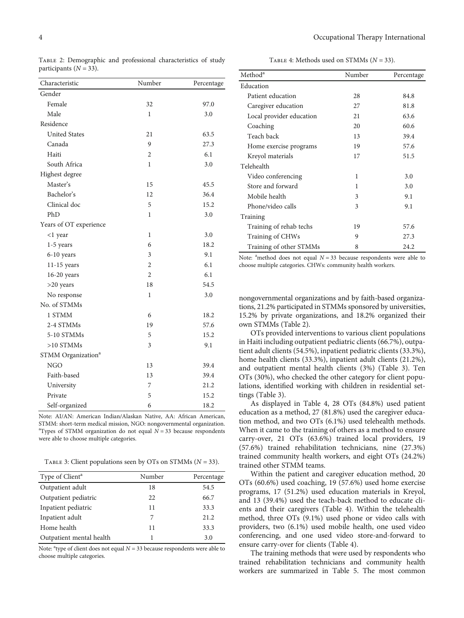<span id="page-4-0"></span>Table 2: Demographic and professional characteristics of study participants  $(N = 33)$ .

| Characteristic                 | Number         | Percentage |
|--------------------------------|----------------|------------|
| Gender                         |                |            |
| Female                         | 32             | 97.0       |
| Male                           | 1              | 3.0        |
| Residence                      |                |            |
| <b>United States</b>           | 21             | 63.5       |
| Canada                         | 9              | 27.3       |
| Haiti                          | $\overline{2}$ | 6.1        |
| South Africa                   | 1              | 3.0        |
| Highest degree                 |                |            |
| Master's                       | 15             | 45.5       |
| Bachelor's                     | 12             | 36.4       |
| Clinical doc                   | 5              | 15.2       |
| PhD                            | 1              | 3.0        |
| Years of OT experience         |                |            |
| <1 year                        | 1              | 3.0        |
| $1-5$ years                    | 6              | 18.2       |
| 6-10 years                     | 3              | 9.1        |
| $11-15$ years                  | $\overline{2}$ | 6.1        |
| $16-20$ years                  | $\overline{2}$ | 6.1        |
| $>20$ years                    | 18             | 54.5       |
| No response                    | $\mathbf{1}$   | 3.0        |
| No. of STMMs                   |                |            |
| 1 STMM                         | 6              | 18.2       |
| 2-4 STMMs                      | 19             | 57.6       |
| 5-10 STMMs                     | 5              | 15.2       |
| $>10$ STMMs                    | 3              | 9.1        |
| STMM Organization <sup>a</sup> |                |            |
| <b>NGO</b>                     | 13             | 39.4       |
| Faith-based                    | 13             | 39.4       |
| University                     | 7              | 21.2       |
| Private                        | 5              | 15.2       |
| Self-organized                 | 6              | 18.2       |

Note: AI/AN: American Indian/Alaskan Native, AA: African American, STMM: short-term medical mission, NGO: nongovernmental organization. <sup>a</sup>Types of STMM organization do not equal  $N = 33$  because respondents were able to choose multiple categories.

Table 3: Client populations seen by OTs on STMMs (*N* = 33).

| Type of Client <sup>a</sup> | Number | Percentage |
|-----------------------------|--------|------------|
| Outpatient adult            | 18     | 54.5       |
| Outpatient pediatric        | 22     | 66.7       |
| Inpatient pediatric         | 11     | 33.3       |
| Inpatient adult             | 7      | 21.2.      |
| Home health                 | 11     | 33.3       |
| Outpatient mental health    |        | 3.0        |

Note:  $a$ <sup>+</sup>type of client does not equal  $N = 33$  because respondents were able to choose multiple categories.

Table 4: Methods used on STMMs (*N* = 33).

| Method <sup>a</sup>      | Number | Percentage |
|--------------------------|--------|------------|
| Education                |        |            |
| Patient education        | 28     | 84.8       |
| Caregiver education      | 27     | 81.8       |
| Local provider education | 21     | 63.6       |
| Coaching                 | 20     | 60.6       |
| Teach back               | 13     | 39.4       |
| Home exercise programs   | 19     | 57.6       |
| Kreyol materials         | 17     | 51.5       |
| Telehealth               |        |            |
| Video conferencing       | 1      | 3.0        |
| Store and forward        | 1      | 3.0        |
| Mobile health            | 3      | 9.1        |
| Phone/video calls        | 3      | 9.1        |
| Training                 |        |            |
| Training of rehab techs  | 19     | 57.6       |
| Training of CHWs         | 9      | 27.3       |
| Training of other STMMs  | 8      | 24.2       |

Note: <sup>a</sup> method does not equal  $N = 33$  because respondents were able to choose multiple categories. CHWs: community health workers.

nongovernmental organizations and by faith-based organizations, 21.2% participated in STMMs sponsored by universities, 15.2% by private organizations, and 18.2% organized their own STMMs (Table 2).

OTs provided interventions to various client populations in Haiti including outpatient pediatric clients (66.7%), outpatient adult clients (54.5%), inpatient pediatric clients (33.3%), home health clients (33.3%), inpatient adult clients (21.2%), and outpatient mental health clients (3%) (Table 3). Ten OTs (30%), who checked the other category for client populations, identified working with children in residential settings (Table 3).

As displayed in Table 4, 28 OTs (84.8%) used patient education as a method, 27 (81.8%) used the caregiver education method, and two OTs (6.1%) used telehealth methods. When it came to the training of others as a method to ensure carry-over, 21 OTs (63.6%) trained local providers, 19 (57.6%) trained rehabilitation technicians, nine (27.3%) trained community health workers, and eight OTs (24.2%) trained other STMM teams.

Within the patient and caregiver education method, 20 OTs (60.6%) used coaching, 19 (57.6%) used home exercise programs, 17 (51.2%) used education materials in Kreyol, and 13 (39.4%) used the teach-back method to educate clients and their caregivers (Table 4). Within the telehealth method, three OTs (9.1%) used phone or video calls with providers, two (6.1%) used mobile health, one used video conferencing, and one used video store-and-forward to ensure carry-over for clients (Table 4).

The training methods that were used by respondents who trained rehabilitation technicians and community health workers are summarized in Table [5.](#page-5-0) The most common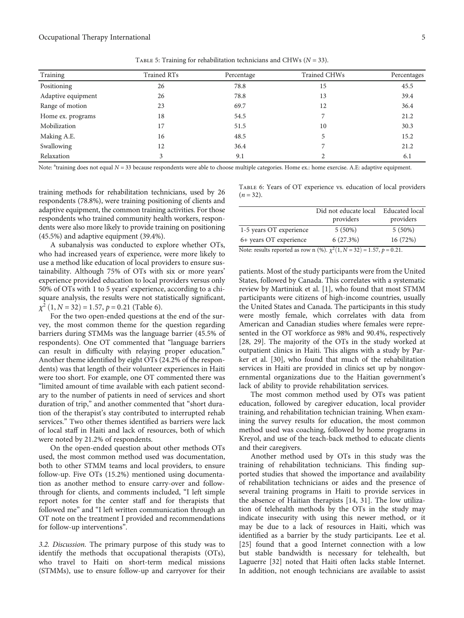<span id="page-5-0"></span>

| Training           | Trained RTs | Percentage | Trained CHWs | Percentages |
|--------------------|-------------|------------|--------------|-------------|
| Positioning        | 26          | 78.8       | 15           | 45.5        |
| Adaptive equipment | 26          | 78.8       | 13           | 39.4        |
| Range of motion    | 23          | 69.7       | 12           | 36.4        |
| Home ex. programs  | 18          | 54.5       |              | 21.2        |
| Mobilization       | 17          | 51.5       | 10           | 30.3        |
| Making A.E.        | 16          | 48.5       |              | 15.2        |
| Swallowing         | 12          | 36.4       |              | 21.2        |
| Relaxation         |             | 9.1        |              | 6.1         |

Table 5: Training for rehabilitation technicians and CHWs (*N* = 33).

Note: <sup>a</sup>training does not equal *N* = 33 because respondents were able to choose multiple categories. Home ex.: home exercise. A.E: adaptive equipment.

training methods for rehabilitation technicians, used by 26 respondents (78.8%), were training positioning of clients and adaptive equipment, the common training activities. For those respondents who trained community health workers, respondents were also more likely to provide training on positioning (45.5%) and adaptive equipment (39.4%).

A subanalysis was conducted to explore whether OTs, who had increased years of experience, were more likely to use a method like education of local providers to ensure sustainability. Although 75% of OTs with six or more years' experience provided education to local providers versus only 50% of OTs with 1 to 5 years' experience, according to a chisquare analysis, the results were not statistically significant,  $\chi^2$  (1, *N* = 32) = 1.57, *p* = 0.21 (Table 6).

For the two open-ended questions at the end of the survey, the most common theme for the question regarding barriers during STMMs was the language barrier (45.5% of respondents). One OT commented that "language barriers can result in difficulty with relaying proper education." Another theme identified by eight OTs (24.2% of the respondents) was that length of their volunteer experiences in Haiti were too short. For example, one OT commented there was "limited amount of time available with each patient secondary to the number of patients in need of services and short duration of trip," and another commented that "short duration of the therapist's stay contributed to interrupted rehab services." Two other themes identified as barriers were lack of local staff in Haiti and lack of resources, both of which were noted by 21.2% of respondents.

On the open-ended question about other methods OTs used, the most common method used was documentation, both to other STMM teams and local providers, to ensure follow-up. Five OTs (15.2%) mentioned using documentation as another method to ensure carry-over and followthrough for clients, and comments included, "I left simple report notes for the center staff and for therapists that followed me" and "I left written communication through an OT note on the treatment I provided and recommendations for follow-up interventions".

3.2. Discussion. The primary purpose of this study was to identify the methods that occupational therapists (OTs), who travel to Haiti on short-term medical missions (STMMs), use to ensure follow-up and carryover for their Table 6: Years of OT experience vs. education of local providers  $(n = 32)$ .

|                                                                                | Did not educate local<br>providers | Educated local<br>providers |
|--------------------------------------------------------------------------------|------------------------------------|-----------------------------|
| 1-5 years OT experience                                                        | $5(50\%)$                          | $5(50\%)$                   |
| 6+ years OT experience                                                         | 6(27.3%)                           | 16 (72%)                    |
| Note: results reported as row n (%). $\chi^2(1, N = 32) = 1.57$ , $p = 0.21$ . |                                    |                             |

patients. Most of the study participants were from the United States, followed by Canada. This correlates with a systematic review by Martiniuk et al. [[1\]](#page-7-0), who found that most STMM participants were citizens of high-income countries, usually the United States and Canada. The participants in this study were mostly female, which correlates with data from American and Canadian studies where females were represented in the OT workforce as 98% and 90.4%, respectively [\[28, 29\]](#page-7-0). The majority of the OTs in the study worked at outpatient clinics in Haiti. This aligns with a study by Parker et al. [\[30\]](#page-7-0), who found that much of the rehabilitation services in Haiti are provided in clinics set up by nongovernmental organizations due to the Haitian government's lack of ability to provide rehabilitation services.

The most common method used by OTs was patient education, followed by caregiver education, local provider training, and rehabilitation technician training. When examining the survey results for education, the most common method used was coaching, followed by home programs in Kreyol, and use of the teach-back method to educate clients and their caregivers.

Another method used by OTs in this study was the training of rehabilitation technicians. This finding supported studies that showed the importance and availability of rehabilitation technicians or aides and the presence of several training programs in Haiti to provide services in the absence of Haitian therapists [[14](#page-7-0), [31\]](#page-8-0). The low utilization of telehealth methods by the OTs in the study may indicate insecurity with using this newer method, or it may be due to a lack of resources in Haiti, which was identified as a barrier by the study participants. Lee et al. [\[25\]](#page-7-0) found that a good Internet connection with a low but stable bandwidth is necessary for telehealth, but Laguerre [[32](#page-8-0)] noted that Haiti often lacks stable Internet. In addition, not enough technicians are available to assist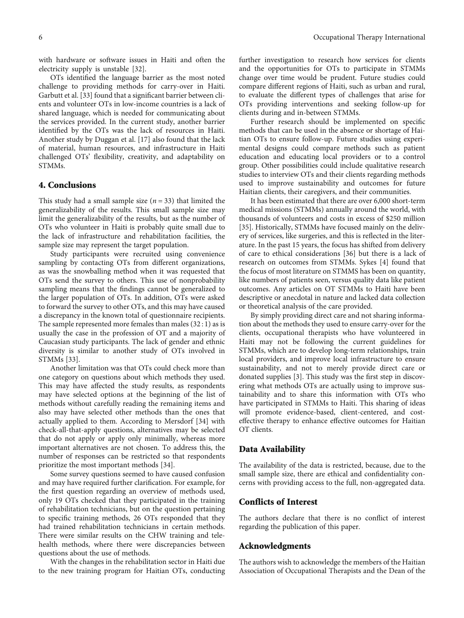with hardware or software issues in Haiti and often the electricity supply is unstable [\[32\]](#page-8-0).

OTs identified the language barrier as the most noted challenge to providing methods for carry-over in Haiti. Garbutt et al. [[33](#page-8-0)] found that a significant barrier between clients and volunteer OTs in low-income countries is a lack of shared language, which is needed for communicating about the services provided. In the current study, another barrier identified by the OTs was the lack of resources in Haiti. Another study by Duggan et al. [\[17](#page-7-0)] also found that the lack of material, human resources, and infrastructure in Haiti challenged OTs' flexibility, creativity, and adaptability on STMMs.

#### 4. Conclusions

This study had a small sample size  $(n = 33)$  that limited the generalizability of the results. This small sample size may limit the generalizability of the results, but as the number of OTs who volunteer in Haiti is probably quite small due to the lack of infrastructure and rehabilitation facilities, the sample size may represent the target population.

Study participants were recruited using convenience sampling by contacting OTs from different organizations, as was the snowballing method when it was requested that OTs send the survey to others. This use of nonprobability sampling means that the findings cannot be generalized to the larger population of OTs. In addition, OTs were asked to forward the survey to other OTs, and this may have caused a discrepancy in the known total of questionnaire recipients. The sample represented more females than males (32 : 1) as is usually the case in the profession of OT and a majority of Caucasian study participants. The lack of gender and ethnic diversity is similar to another study of OTs involved in STMMs [\[33\]](#page-8-0).

Another limitation was that OTs could check more than one category on questions about which methods they used. This may have affected the study results, as respondents may have selected options at the beginning of the list of methods without carefully reading the remaining items and also may have selected other methods than the ones that actually applied to them. According to Mersdorf [[34](#page-8-0)] with check-all-that-apply questions, alternatives may be selected that do not apply or apply only minimally, whereas more important alternatives are not chosen. To address this, the number of responses can be restricted so that respondents prioritize the most important methods [[34\]](#page-8-0).

Some survey questions seemed to have caused confusion and may have required further clarification. For example, for the first question regarding an overview of methods used, only 19 OTs checked that they participated in the training of rehabilitation technicians, but on the question pertaining to specific training methods, 26 OTs responded that they had trained rehabilitation technicians in certain methods. There were similar results on the CHW training and telehealth methods, where there were discrepancies between questions about the use of methods.

With the changes in the rehabilitation sector in Haiti due to the new training program for Haitian OTs, conducting further investigation to research how services for clients and the opportunities for OTs to participate in STMMs change over time would be prudent. Future studies could compare different regions of Haiti, such as urban and rural, to evaluate the different types of challenges that arise for OTs providing interventions and seeking follow-up for clients during and in-between STMMs.

Further research should be implemented on specific methods that can be used in the absence or shortage of Haitian OTs to ensure follow-up. Future studies using experimental designs could compare methods such as patient education and educating local providers or to a control group. Other possibilities could include qualitative research studies to interview OTs and their clients regarding methods used to improve sustainability and outcomes for future Haitian clients, their caregivers, and their communities.

It has been estimated that there are over 6,000 short-term medical missions (STMMs) annually around the world, with thousands of volunteers and costs in excess of \$250 million [\[35\]](#page-8-0). Historically, STMMs have focused mainly on the delivery of services, like surgeries, and this is reflected in the literature. In the past 15 years, the focus has shifted from delivery of care to ethical considerations [\[36\]](#page-8-0) but there is a lack of research on outcomes from STMMs. Sykes [\[4](#page-7-0)] found that the focus of most literature on STMMS has been on quantity, like numbers of patients seen, versus quality data like patient outcomes. Any articles on OT STMMs to Haiti have been descriptive or anecdotal in nature and lacked data collection or theoretical analysis of the care provided.

By simply providing direct care and not sharing information about the methods they used to ensure carry-over for the clients, occupational therapists who have volunteered in Haiti may not be following the current guidelines for STMMs, which are to develop long-term relationships, train local providers, and improve local infrastructure to ensure sustainability, and not to merely provide direct care or donated supplies [[3](#page-7-0)]. This study was the first step in discovering what methods OTs are actually using to improve sustainability and to share this information with OTs who have participated in STMMs to Haiti. This sharing of ideas will promote evidence-based, client-centered, and costeffective therapy to enhance effective outcomes for Haitian OT clients.

#### Data Availability

The availability of the data is restricted, because, due to the small sample size, there are ethical and confidentiality concerns with providing access to the full, non-aggregated data.

#### Conflicts of Interest

The authors declare that there is no conflict of interest regarding the publication of this paper.

#### Acknowledgments

The authors wish to acknowledge the members of the Haitian Association of Occupational Therapists and the Dean of the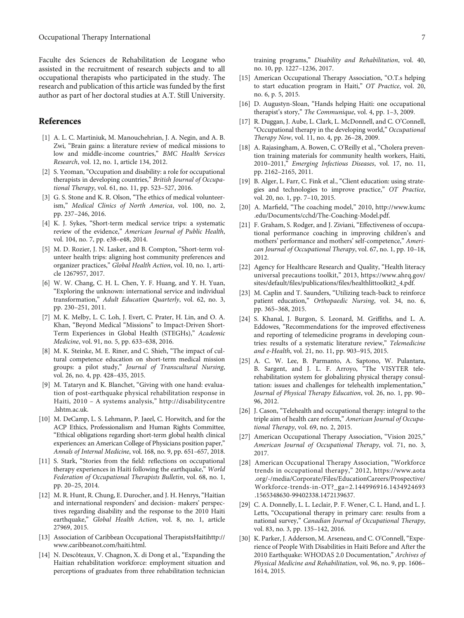<span id="page-7-0"></span>Faculte des Sciences de Rehabilitation de Leogane who assisted in the recruitment of research subjects and to all occupational therapists who participated in the study. The research and publication of this article was funded by the first author as part of her doctoral studies at A.T. Still University.

#### References

- [1] A. L. C. Martiniuk, M. Manouchehrian, J. A. Negin, and A. B. Zwi, "Brain gains: a literature review of medical missions to low and middle-income countries," BMC Health Services Research, vol. 12, no. 1, article 134, 2012.
- [2] S. Yeoman, "Occupation and disability: a role for occupational therapists in developing countries," British Journal of Occupational Therapy, vol. 61, no. 11, pp. 523–527, 2016.
- [3] G. S. Stone and K. R. Olson, "The ethics of medical volunteerism," Medical Clinics of North America, vol. 100, no. 2, pp. 237–246, 2016.
- [4] K. J. Sykes, "Short-term medical service trips: a systematic review of the evidence," American Journal of Public Health, vol. 104, no. 7, pp. e38–e48, 2014.
- [5] M. D. Rozier, J. N. Lasker, and B. Compton, "Short-term volunteer health trips: aligning host community preferences and organizer practices," Global Health Action, vol. 10, no. 1, article 1267957, 2017.
- [6] W. W. Chang, C. H. L. Chen, Y. F. Huang, and Y. H. Yuan, "Exploring the unknown: international service and individual transformation," Adult Education Quarterly, vol. 62, no. 3, pp. 230–251, 2011.
- [7] M. K. Melby, L. C. Loh, J. Evert, C. Prater, H. Lin, and O. A. Khan, "Beyond Medical "Missions" to Impact-Driven Short-Term Experiences in Global Health (STEGHs)," Academic Medicine, vol. 91, no. 5, pp. 633–638, 2016.
- [8] M. K. Steinke, M. E. Riner, and C. Shieh, "The impact of cultural competence education on short-term medical mission groups: a pilot study," Journal of Transcultural Nursing, vol. 26, no. 4, pp. 428–435, 2015.
- [9] M. Tataryn and K. Blanchet, "Giving with one hand: evaluation of post-earthquake physical rehabilitation response in Haiti, 2010 – A systems analysis," [http://disabilitycentre](http://disabilitycentre.lshtm.ac.uk) [.lshtm.ac.uk](http://disabilitycentre.lshtm.ac.uk).
- [10] M. DeCamp, L. S. Lehmann, P. Jaeel, C. Horwitch, and for the ACP Ethics, Professionalism and Human Rights Committee, "Ethical obligations regarding short-term global health clinical experiences: an American College of Physicians position paper," Annals of Internal Medicine, vol. 168, no. 9, pp. 651–657, 2018.
- [11] S. Stark, "Stories from the field: reflections on occupational therapy experiences in Haiti following the earthquake," World Federation of Occupational Therapists Bulletin, vol. 68, no. 1, pp. 20–25, 2014.
- [12] M. R. Hunt, R. Chung, E. Durocher, and J. H. Henrys, "Haitian and international responders' and decision- makers' perspectives regarding disability and the response to the 2010 Haiti earthquake," Global Health Action, vol. 8, no. 1, article 27969, 2015.
- [13] Association of Caribbean Occupational TherapistsHait[ihttp://](http://www.caribbeanot.com/haiti.html) [www.caribbeanot.com/haiti.html](http://www.caribbeanot.com/haiti.html).
- [14] N. Descôteaux, V. Chagnon, X. di Dong et al., "Expanding the Haitian rehabilitation workforce: employment situation and perceptions of graduates from three rehabilitation technician

training programs," Disability and Rehabilitation, vol. 40, no. 10, pp. 1227–1236, 2017.

- [15] American Occupational Therapy Association, "O.T.s helping to start education program in Haiti," OT Practice, vol. 20, no. 6, p. 5, 2015.
- [16] D. Augustyn-Sloan, "Hands helping Haiti: one occupational therapist's story," The Communique, vol. 4, pp. 1–3, 2009.
- [17] R. Duggan, J. Aube, L. Clark, L. McDonnell, and C. O'Connell, "Occupational therapy in the developing world," Occupational Therapy Now, vol. 11, no. 4, pp. 26–28, 2009.
- [18] A. Rajasingham, A. Bowen, C. O'Reilly et al., "Cholera prevention training materials for community health workers, Haiti, 2010–2011," Emerging Infectious Diseases, vol. 17, no. 11, pp. 2162–2165, 2011.
- [19] B. Alger, L. Farr, C. Fink et al., "Client education: using strategies and technologies to improve practice," OT Practice, vol. 20, no. 1, pp. 7–10, 2015.
- [20] A. Marfield, "The coaching model," 2010, [http://www.kumc](http://www.kumc.edu/Documents/cchd/The-Coaching-Model.pdf) [.edu/Documents/cchd/The-Coaching-Model.pdf.](http://www.kumc.edu/Documents/cchd/The-Coaching-Model.pdf)
- [21] F. Graham, S. Rodger, and J. Ziviani, "Effectiveness of occupational performance coaching in improving children's and mothers' performance and mothers' self-competence," American Journal of Occupational Therapy, vol. 67, no. 1, pp. 10–18, 2012.
- [22] Agency for Healthcare Research and Quality, "Health literacy universal precautions toolkit," 2013, [https://www.ahrq.gov/](https://www.ahrq.gov/sites/default/files/publications/files/healthlittoolkit2_4.pdf) sites/default/files/publications/fi[les/healthlittoolkit2\\_4.pdf.](https://www.ahrq.gov/sites/default/files/publications/files/healthlittoolkit2_4.pdf)
- [23] M. Caplin and T. Saunders, "Utilizing teach-back to reinforce patient education," Orthopaedic Nursing, vol. 34, no. 6, pp. 365–368, 2015.
- [24] S. Khanal, J. Burgon, S. Leonard, M. Griffiths, and L. A. Eddowes, "Recommendations for the improved effectiveness and reporting of telemedicine programs in developing countries: results of a systematic literature review," Telemedicine and e-Health, vol. 21, no. 11, pp. 903–915, 2015.
- [25] A. C. W. Lee, B. Parmanto, A. Saptono, W. Pulantara, B. Sargent, and J. L. F. Arroyo, "The VISYTER telerehabilitation system for globalizing physical therapy consultation: issues and challenges for telehealth implementation," Journal of Physical Therapy Education, vol. 26, no. 1, pp. 90– 96, 2012.
- [26] J. Cason, "Telehealth and occupational therapy: integral to the triple aim of health care reform," American Journal of Occupational Therapy, vol. 69, no. 2, 2015.
- [27] American Occupational Therapy Association, "Vision 2025," American Journal of Occupational Therapy, vol. 71, no. 3, 2017.
- [28] American Occupational Therapy Association, "Workforce trends in occupational therapy," 2012, [https://www.aota](https://www.aota.org/-/media/Corporate/Files/EducationCareers/Prospective/Workforce-trends-in-OT?_ga=2.144996916.1434924693.1565348630-99402338.1472139637) [.org/-/media/Corporate/Files/EducationCareers/Prospective/](https://www.aota.org/-/media/Corporate/Files/EducationCareers/Prospective/Workforce-trends-in-OT?_ga=2.144996916.1434924693.1565348630-99402338.1472139637) [Workforce-trends-in-OT?\\_ga=2.144996916.1434924693](https://www.aota.org/-/media/Corporate/Files/EducationCareers/Prospective/Workforce-trends-in-OT?_ga=2.144996916.1434924693.1565348630-99402338.1472139637) [.1565348630-99402338.1472139637.](https://www.aota.org/-/media/Corporate/Files/EducationCareers/Prospective/Workforce-trends-in-OT?_ga=2.144996916.1434924693.1565348630-99402338.1472139637)
- [29] C. A. Donnelly, L. L. Leclair, P. F. Wener, C. L. Hand, and L. J. Letts, "Occupational therapy in primary care: results from a national survey," Canadian Journal of Occupational Therapy, vol. 83, no. 3, pp. 135–142, 2016.
- [30] K. Parker, J. Adderson, M. Arseneau, and C. O'Connell, "Experience of People With Disabilities in Haiti Before and After the 2010 Earthquake: WHODAS 2.0 Documentation," Archives of Physical Medicine and Rehabilitation, vol. 96, no. 9, pp. 1606– 1614, 2015.